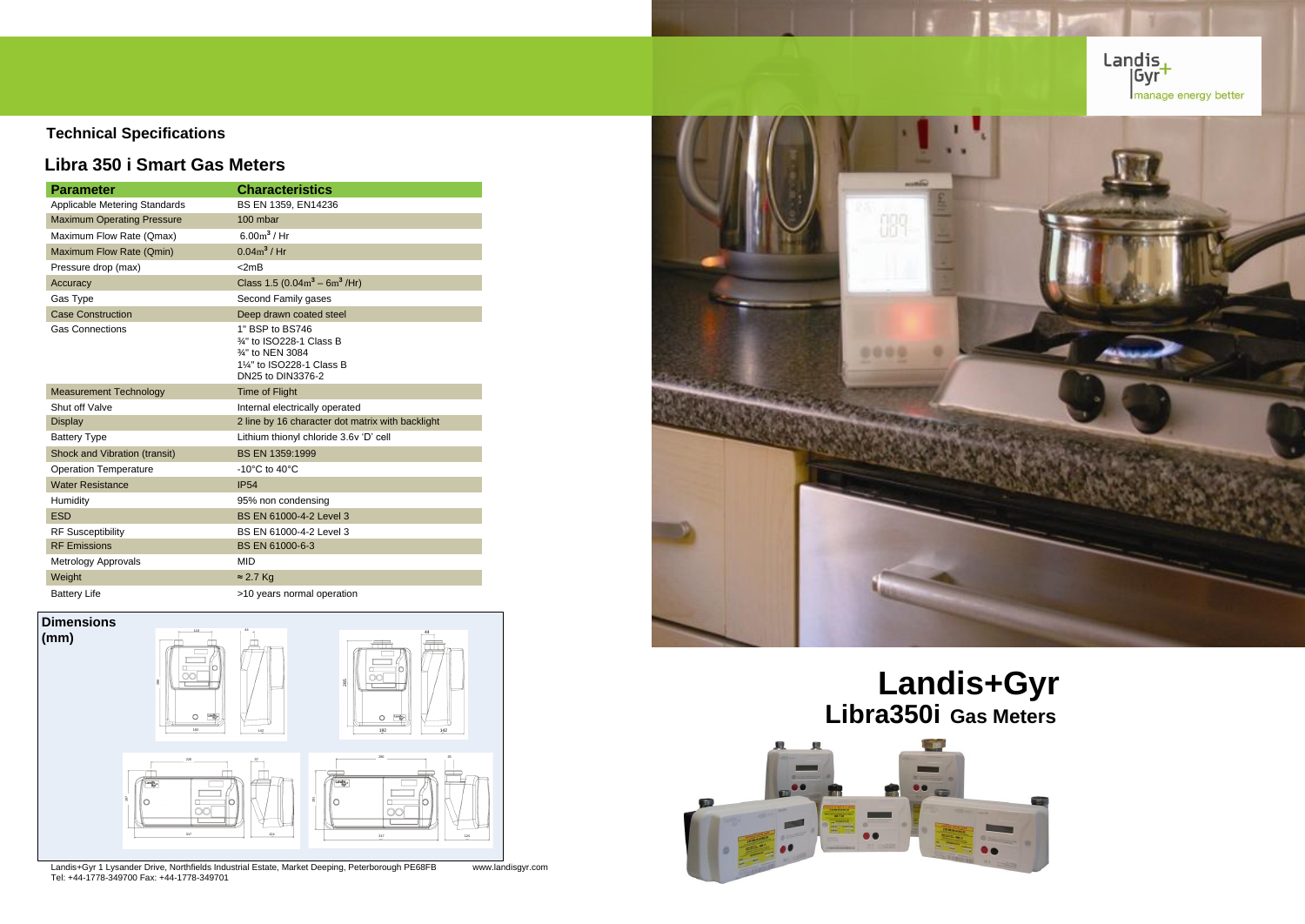# **Technical Specifications**

# **Libra 350 i Smart Gas Meters**

Landis+Gyr 1 Lysander Drive, Northfields Industrial Estate, Market Deeping, Peterborough PE68FB www.landisgyr.com Tel: +44-1778-349700 Fax: +44-1778-349701



| <b>Parameter</b>                  | <b>Characteristics</b>                                                                                           |
|-----------------------------------|------------------------------------------------------------------------------------------------------------------|
| Applicable Metering Standards     | BS EN 1359, EN14236                                                                                              |
| <b>Maximum Operating Pressure</b> | 100 mbar                                                                                                         |
| Maximum Flow Rate (Qmax)          | $6.00m^3$ / Hr                                                                                                   |
| Maximum Flow Rate (Qmin)          | $0.04m^3$ / Hr                                                                                                   |
| Pressure drop (max)               | $<$ 2mB                                                                                                          |
| Accuracy                          | Class 1.5 $(0.04m^3 - 6m^3 / Hr)$                                                                                |
| Gas Type                          | Second Family gases                                                                                              |
| <b>Case Construction</b>          | Deep drawn coated steel                                                                                          |
| <b>Gas Connections</b>            | 1" BSP to BS746<br>34" to ISO228-1 Class B<br>3⁄4" to NEN 3084<br>11/4" to ISO228-1 Class B<br>DN25 to DIN3376-2 |
| <b>Measurement Technology</b>     | <b>Time of Flight</b>                                                                                            |
| Shut off Valve                    | Internal electrically operated                                                                                   |
| <b>Display</b>                    | 2 line by 16 character dot matrix with backlight                                                                 |
| <b>Battery Type</b>               | Lithium thionyl chloride 3.6v 'D' cell                                                                           |
| Shock and Vibration (transit)     | BS EN 1359:1999                                                                                                  |
| <b>Operation Temperature</b>      | -10 $^{\circ}$ C to 40 $^{\circ}$ C                                                                              |
| <b>Water Resistance</b>           | <b>IP54</b>                                                                                                      |
| Humidity                          | 95% non condensing                                                                                               |
| <b>ESD</b>                        | BS EN 61000-4-2 Level 3                                                                                          |
| <b>RF Susceptibility</b>          | BS EN 61000-4-2 Level 3                                                                                          |
| <b>RF Emissions</b>               | BS EN 61000-6-3                                                                                                  |
| Metrology Approvals               | <b>MID</b>                                                                                                       |
| Weight                            | $\approx$ 2.7 Kg                                                                                                 |
| <b>Battery Life</b>               | >10 years normal operation                                                                                       |



# **Landis+Gyr Libra350i Gas Meters**